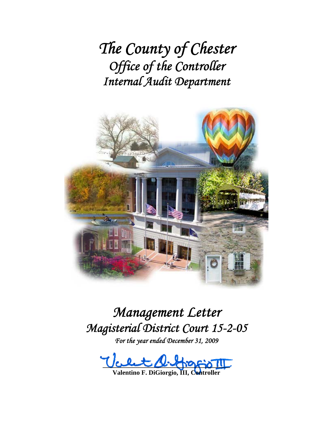*The County of Chester Office of the Controller Internal Audit Department*



# *Management Letter Magisterial District Court 15-2-05 For the year ended December 31, 2009*

 $\mathcal{U}_c$  et stractors

**Valentino F. DiGiorgio, III, C**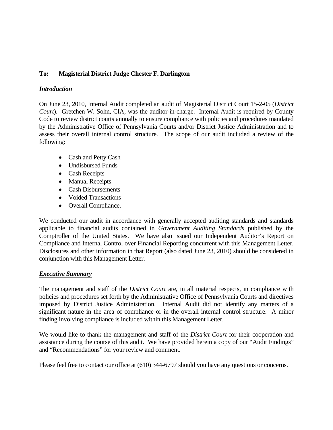## **To: Magisterial District Judge Chester F. Darlington**

## *Introduction*

On June 23, 2010, Internal Audit completed an audit of Magisterial District Court 15-2-05 (*District Court*). Gretchen W. Sohn, CIA, was the auditor-in-charge. Internal Audit is required by County Code to review district courts annually to ensure compliance with policies and procedures mandated by the Administrative Office of Pennsylvania Courts and/or District Justice Administration and to assess their overall internal control structure. The scope of our audit included a review of the following:

- Cash and Petty Cash
- Undisbursed Funds
- Cash Receipts
- Manual Receipts
- Cash Disbursements
- Voided Transactions
- Overall Compliance.

We conducted our audit in accordance with generally accepted auditing standards and standards applicable to financial audits contained in *Government Auditing Standards* published by the Comptroller of the United States. We have also issued our Independent Auditor's Report on Compliance and Internal Control over Financial Reporting concurrent with this Management Letter. Disclosures and other information in that Report (also dated June 23, 2010) should be considered in conjunction with this Management Letter.

## *Executive Summary*

The management and staff of the *District Court* are, in all material respects, in compliance with policies and procedures set forth by the Administrative Office of Pennsylvania Courts and directives imposed by District Justice Administration. Internal Audit did not identify any matters of a significant nature in the area of compliance or in the overall internal control structure. A minor finding involving compliance is included within this Management Letter.

We would like to thank the management and staff of the *District Court* for their cooperation and assistance during the course of this audit. We have provided herein a copy of our "Audit Findings" and "Recommendations" for your review and comment.

Please feel free to contact our office at (610) 344-6797 should you have any questions or concerns.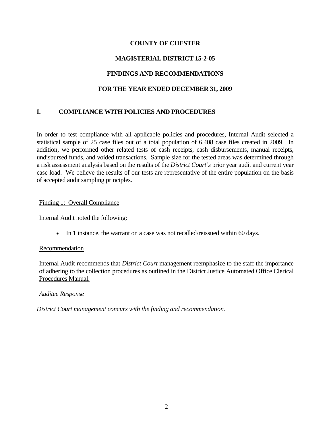## **COUNTY OF CHESTER**

# **MAGISTERIAL DISTRICT 15-2-05**

# **FINDINGS AND RECOMMENDATIONS**

## **FOR THE YEAR ENDED DECEMBER 31, 2009**

# **I. COMPLIANCE WITH POLICIES AND PROCEDURES**

In order to test compliance with all applicable policies and procedures, Internal Audit selected a statistical sample of 25 case files out of a total population of 6,408 case files created in 2009. In addition, we performed other related tests of cash receipts, cash disbursements, manual receipts, undisbursed funds, and voided transactions. Sample size for the tested areas was determined through a risk assessment analysis based on the results of the *District Court's* prior year audit and current year case load. We believe the results of our tests are representative of the entire population on the basis of accepted audit sampling principles.

## Finding 1: Overall Compliance

Internal Audit noted the following:

• In 1 instance, the warrant on a case was not recalled/reissued within 60 days.

## Recommendation

Internal Audit recommends that *District Court* management reemphasize to the staff the importance of adhering to the collection procedures as outlined in the District Justice Automated Office Clerical Procedures Manual.

## *Auditee Response*

*District Court management concurs with the finding and recommendation.*